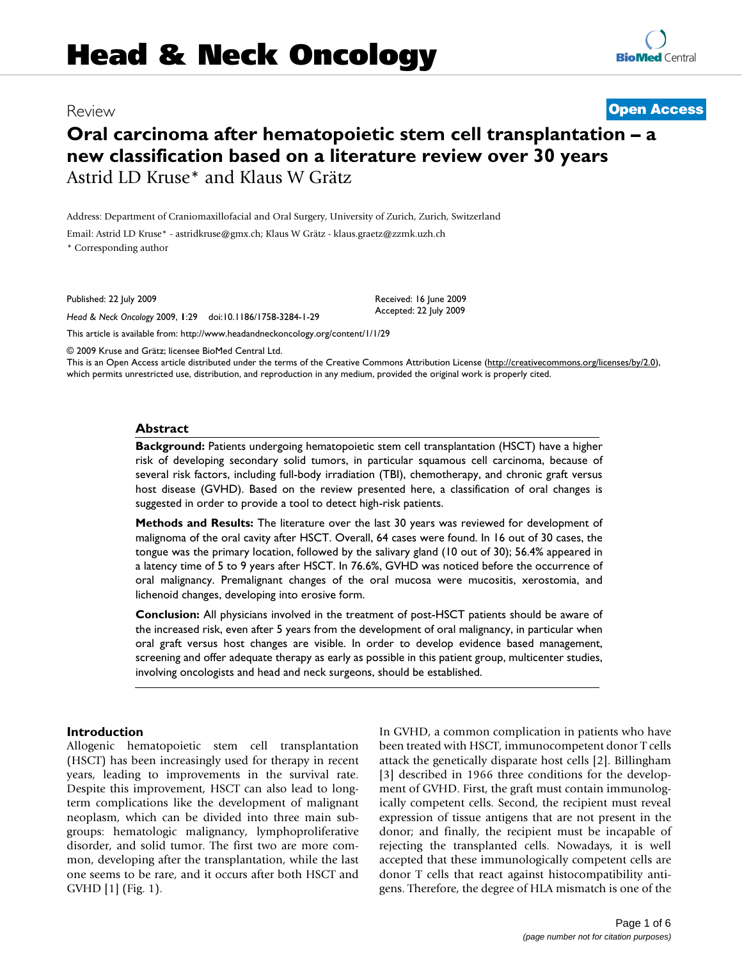## Review **[Open Access](http://www.biomedcentral.com/info/about/charter/)**

# **Oral carcinoma after hematopoietic stem cell transplantation – a new classification based on a literature review over 30 years** Astrid LD Kruse\* and Klaus W Grätz

Address: Department of Craniomaxillofacial and Oral Surgery, University of Zurich, Zurich, Switzerland

Email: Astrid LD Kruse\* - astridkruse@gmx.ch; Klaus W Grätz - klaus.graetz@zzmk.uzh.ch

\* Corresponding author

Published: 22 July 2009

*Head & Neck Oncology* 2009, **1**:29 doi:10.1186/1758-3284-1-29

[This article is available from: http://www.headandneckoncology.org/content/1/1/29](http://www.headandneckoncology.org/content/1/1/29)

© 2009 Kruse and Grätz; licensee BioMed Central Ltd.

This is an Open Access article distributed under the terms of the Creative Commons Attribution License [\(http://creativecommons.org/licenses/by/2.0\)](http://creativecommons.org/licenses/by/2.0), which permits unrestricted use, distribution, and reproduction in any medium, provided the original work is properly cited.

Received: 16 June 2009 Accepted: 22 July 2009

#### **Abstract**

**Background:** Patients undergoing hematopoietic stem cell transplantation (HSCT) have a higher risk of developing secondary solid tumors, in particular squamous cell carcinoma, because of several risk factors, including full-body irradiation (TBI), chemotherapy, and chronic graft versus host disease (GVHD). Based on the review presented here, a classification of oral changes is suggested in order to provide a tool to detect high-risk patients.

**Methods and Results:** The literature over the last 30 years was reviewed for development of malignoma of the oral cavity after HSCT. Overall, 64 cases were found. In 16 out of 30 cases, the tongue was the primary location, followed by the salivary gland (10 out of 30); 56.4% appeared in a latency time of 5 to 9 years after HSCT. In 76.6%, GVHD was noticed before the occurrence of oral malignancy. Premalignant changes of the oral mucosa were mucositis, xerostomia, and lichenoid changes, developing into erosive form.

**Conclusion:** All physicians involved in the treatment of post-HSCT patients should be aware of the increased risk, even after 5 years from the development of oral malignancy, in particular when oral graft versus host changes are visible. In order to develop evidence based management, screening and offer adequate therapy as early as possible in this patient group, multicenter studies, involving oncologists and head and neck surgeons, should be established.

#### **Introduction**

Allogenic hematopoietic stem cell transplantation (HSCT) has been increasingly used for therapy in recent years, leading to improvements in the survival rate. Despite this improvement, HSCT can also lead to longterm complications like the development of malignant neoplasm, which can be divided into three main subgroups: hematologic malignancy, lymphoproliferative disorder, and solid tumor. The first two are more common, developing after the transplantation, while the last one seems to be rare, and it occurs after both HSCT and GVHD [1] (Fig. 1).

In GVHD, a common complication in patients who have been treated with HSCT, immunocompetent donor T cells attack the genetically disparate host cells [2]. Billingham [3] described in 1966 three conditions for the development of GVHD. First, the graft must contain immunologically competent cells. Second, the recipient must reveal expression of tissue antigens that are not present in the donor; and finally, the recipient must be incapable of rejecting the transplanted cells. Nowadays, it is well accepted that these immunologically competent cells are donor T cells that react against histocompatibility antigens. Therefore, the degree of HLA mismatch is one of the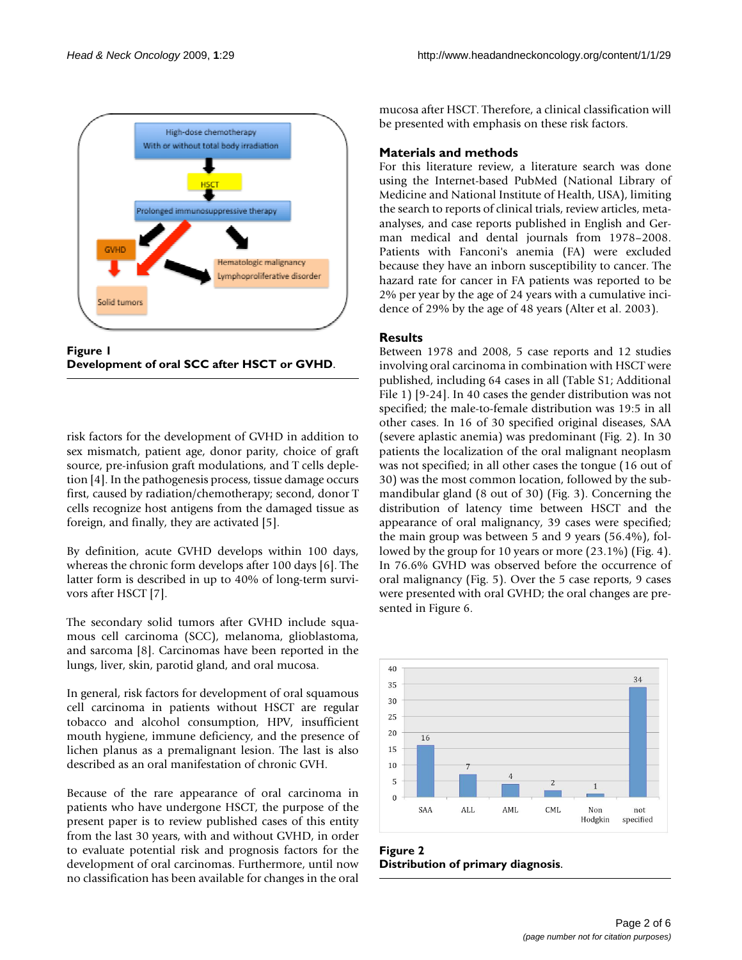

**Figure 1 Development of oral SCC after HSCT or GVHD**.

risk factors for the development of GVHD in addition to sex mismatch, patient age, donor parity, choice of graft source, pre-infusion graft modulations, and T cells depletion [4]. In the pathogenesis process, tissue damage occurs first, caused by radiation/chemotherapy; second, donor T cells recognize host antigens from the damaged tissue as foreign, and finally, they are activated [5].

By definition, acute GVHD develops within 100 days, whereas the chronic form develops after 100 days [6]. The latter form is described in up to 40% of long-term survivors after HSCT [7].

The secondary solid tumors after GVHD include squamous cell carcinoma (SCC), melanoma, glioblastoma, and sarcoma [8]. Carcinomas have been reported in the lungs, liver, skin, parotid gland, and oral mucosa.

In general, risk factors for development of oral squamous cell carcinoma in patients without HSCT are regular tobacco and alcohol consumption, HPV, insufficient mouth hygiene, immune deficiency, and the presence of lichen planus as a premalignant lesion. The last is also described as an oral manifestation of chronic GVH.

Because of the rare appearance of oral carcinoma in patients who have undergone HSCT, the purpose of the present paper is to review published cases of this entity from the last 30 years, with and without GVHD, in order to evaluate potential risk and prognosis factors for the development of oral carcinomas. Furthermore, until now no classification has been available for changes in the oral

mucosa after HSCT. Therefore, a clinical classification will be presented with emphasis on these risk factors.

#### **Materials and methods**

For this literature review, a literature search was done using the Internet-based PubMed (National Library of Medicine and National Institute of Health, USA), limiting the search to reports of clinical trials, review articles, metaanalyses, and case reports published in English and German medical and dental journals from 1978–2008. Patients with Fanconi's anemia (FA) were excluded because they have an inborn susceptibility to cancer. The hazard rate for cancer in FA patients was reported to be 2% per year by the age of 24 years with a cumulative incidence of 29% by the age of 48 years (Alter et al. 2003).

### **Results**

Between 1978 and 2008, 5 case reports and 12 studies involving oral carcinoma in combination with HSCT were published, including 64 cases in all (Table S1; Additional File 1) [9-24]. In 40 cases the gender distribution was not specified; the male-to-female distribution was 19:5 in all other cases. In 16 of 30 specified original diseases, SAA (severe aplastic anemia) was predominant (Fig. 2). In 30 patients the localization of the oral malignant neoplasm was not specified; in all other cases the tongue (16 out of 30) was the most common location, followed by the submandibular gland (8 out of 30) (Fig. 3). Concerning the distribution of latency time between HSCT and the appearance of oral malignancy, 39 cases were specified; the main group was between 5 and 9 years (56.4%), followed by the group for 10 years or more (23.1%) (Fig. 4). In 76.6% GVHD was observed before the occurrence of oral malignancy (Fig. 5). Over the 5 case reports, 9 cases were presented with oral GVHD; the oral changes are presented in Figure 6.



**Figure 2 Distribution of primary diagnosis**.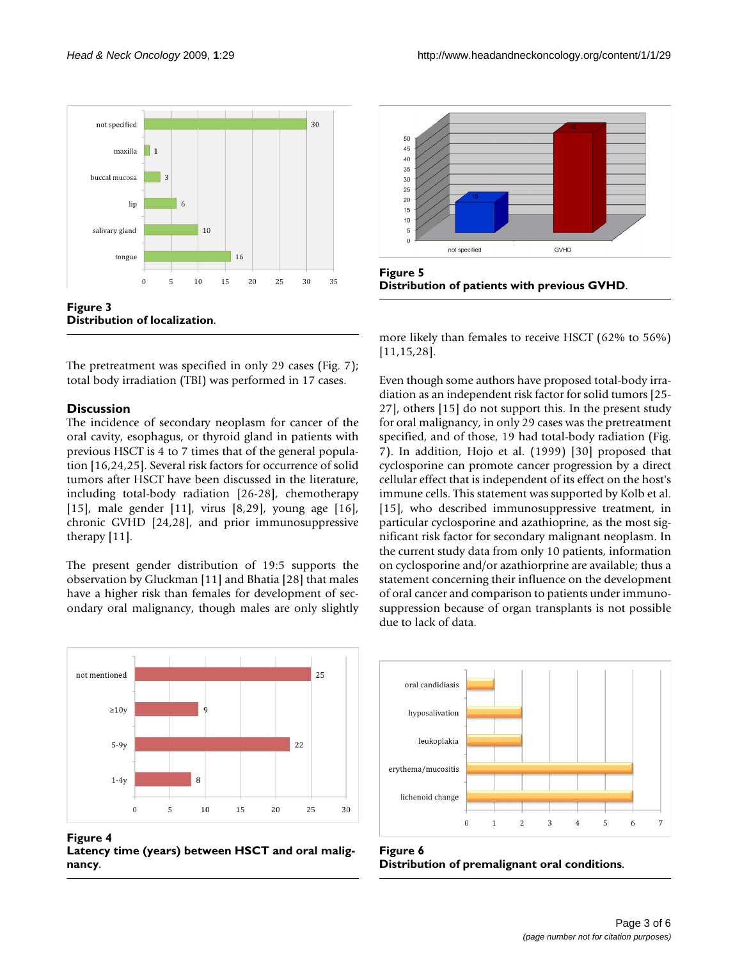

The pretreatment was specified in only 29 cases (Fig. 7); total body irradiation (TBI) was performed in 17 cases.

#### **Discussion**

The incidence of secondary neoplasm for cancer of the oral cavity, esophagus, or thyroid gland in patients with previous HSCT is 4 to 7 times that of the general population [16,24,25]. Several risk factors for occurrence of solid tumors after HSCT have been discussed in the literature, including total-body radiation [26-28], chemotherapy [15], male gender [11], virus [8,29], young age [16], chronic GVHD [24,28], and prior immunosuppressive therapy [11].

The present gender distribution of 19:5 supports the observation by Gluckman [11] and Bhatia [28] that males have a higher risk than females for development of secondary oral malignancy, though males are only slightly







**Figure 5 Distribution of patients with previous GVHD**.

more likely than females to receive HSCT (62% to 56%) [11,15,28].

Even though some authors have proposed total-body irradiation as an independent risk factor for solid tumors [25- 27], others [15] do not support this. In the present study for oral malignancy, in only 29 cases was the pretreatment specified, and of those, 19 had total-body radiation (Fig. 7). In addition, Hojo et al. (1999) [30] proposed that cyclosporine can promote cancer progression by a direct cellular effect that is independent of its effect on the host's immune cells. This statement was supported by Kolb et al. [15], who described immunosuppressive treatment, in particular cyclosporine and azathioprine, as the most significant risk factor for secondary malignant neoplasm. In the current study data from only 10 patients, information on cyclosporine and/or azathiorprine are available; thus a statement concerning their influence on the development of oral cancer and comparison to patients under immunosuppression because of organ transplants is not possible due to lack of data.



Figure 6 **Distribution of premalignant oral conditions**.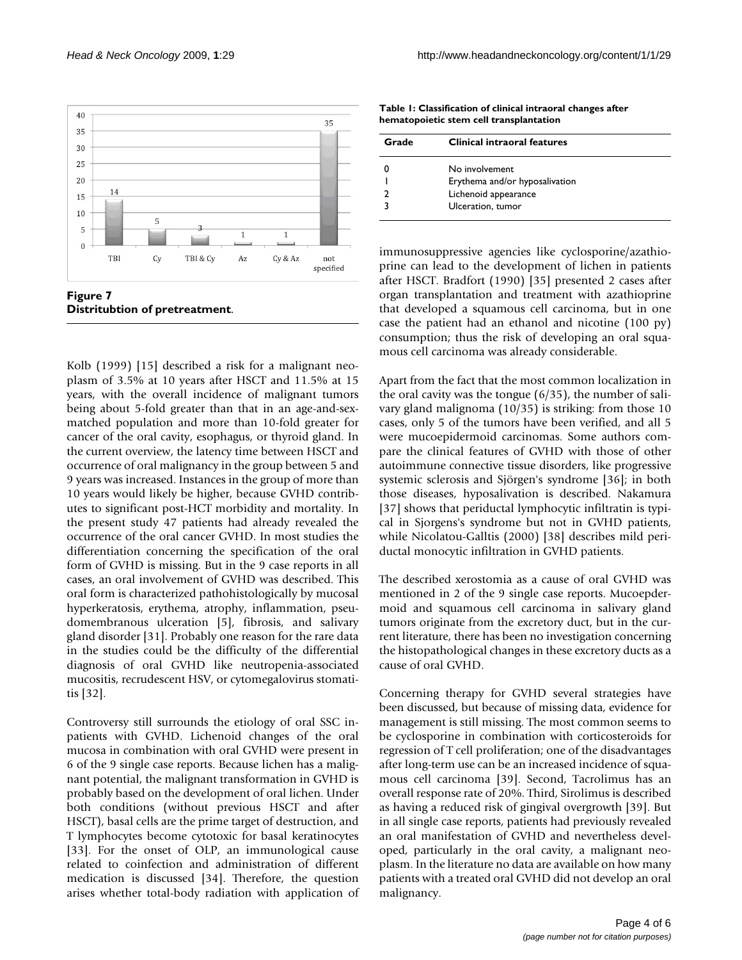

Kolb (1999) [15] described a risk for a malignant neoplasm of 3.5% at 10 years after HSCT and 11.5% at 15 years, with the overall incidence of malignant tumors being about 5-fold greater than that in an age-and-sexmatched population and more than 10-fold greater for cancer of the oral cavity, esophagus, or thyroid gland. In the current overview, the latency time between HSCT and occurrence of oral malignancy in the group between 5 and 9 years was increased. Instances in the group of more than 10 years would likely be higher, because GVHD contributes to significant post-HCT morbidity and mortality. In the present study 47 patients had already revealed the occurrence of the oral cancer GVHD. In most studies the differentiation concerning the specification of the oral form of GVHD is missing. But in the 9 case reports in all cases, an oral involvement of GVHD was described. This oral form is characterized pathohistologically by mucosal hyperkeratosis, erythema, atrophy, inflammation, pseudomembranous ulceration [5], fibrosis, and salivary gland disorder [31]. Probably one reason for the rare data in the studies could be the difficulty of the differential diagnosis of oral GVHD like neutropenia-associated mucositis, recrudescent HSV, or cytomegalovirus stomatitis [32].

Controversy still surrounds the etiology of oral SSC inpatients with GVHD. Lichenoid changes of the oral mucosa in combination with oral GVHD were present in 6 of the 9 single case reports. Because lichen has a malignant potential, the malignant transformation in GVHD is probably based on the development of oral lichen. Under both conditions (without previous HSCT and after HSCT), basal cells are the prime target of destruction, and T lymphocytes become cytotoxic for basal keratinocytes [33]. For the onset of OLP, an immunological cause related to coinfection and administration of different medication is discussed [34]. Therefore, the question arises whether total-body radiation with application of

**Table 1: Classification of clinical intraoral changes after hematopoietic stem cell transplantation**

| Grade | <b>Clinical intraoral features</b> |
|-------|------------------------------------|
|       | No involvement                     |
|       | Erythema and/or hyposalivation     |
|       | Lichenoid appearance               |
|       | Ulceration, tumor                  |

immunosuppressive agencies like cyclosporine/azathioprine can lead to the development of lichen in patients after HSCT. Bradfort (1990) [35] presented 2 cases after organ transplantation and treatment with azathioprine that developed a squamous cell carcinoma, but in one case the patient had an ethanol and nicotine (100 py) consumption; thus the risk of developing an oral squamous cell carcinoma was already considerable.

Apart from the fact that the most common localization in the oral cavity was the tongue (6/35), the number of salivary gland malignoma (10/35) is striking: from those 10 cases, only 5 of the tumors have been verified, and all 5 were mucoepidermoid carcinomas. Some authors compare the clinical features of GVHD with those of other autoimmune connective tissue disorders, like progressive systemic sclerosis and Sjörgen's syndrome [36]; in both those diseases, hyposalivation is described. Nakamura [37] shows that periductal lymphocytic infiltratin is typical in Sjorgens's syndrome but not in GVHD patients, while Nicolatou-Galltis (2000) [38] describes mild periductal monocytic infiltration in GVHD patients.

The described xerostomia as a cause of oral GVHD was mentioned in 2 of the 9 single case reports. Mucoepdermoid and squamous cell carcinoma in salivary gland tumors originate from the excretory duct, but in the current literature, there has been no investigation concerning the histopathological changes in these excretory ducts as a cause of oral GVHD.

Concerning therapy for GVHD several strategies have been discussed, but because of missing data, evidence for management is still missing. The most common seems to be cyclosporine in combination with corticosteroids for regression of T cell proliferation; one of the disadvantages after long-term use can be an increased incidence of squamous cell carcinoma [39]. Second, Tacrolimus has an overall response rate of 20%. Third, Sirolimus is described as having a reduced risk of gingival overgrowth [39]. But in all single case reports, patients had previously revealed an oral manifestation of GVHD and nevertheless developed, particularly in the oral cavity, a malignant neoplasm. In the literature no data are available on how many patients with a treated oral GVHD did not develop an oral malignancy.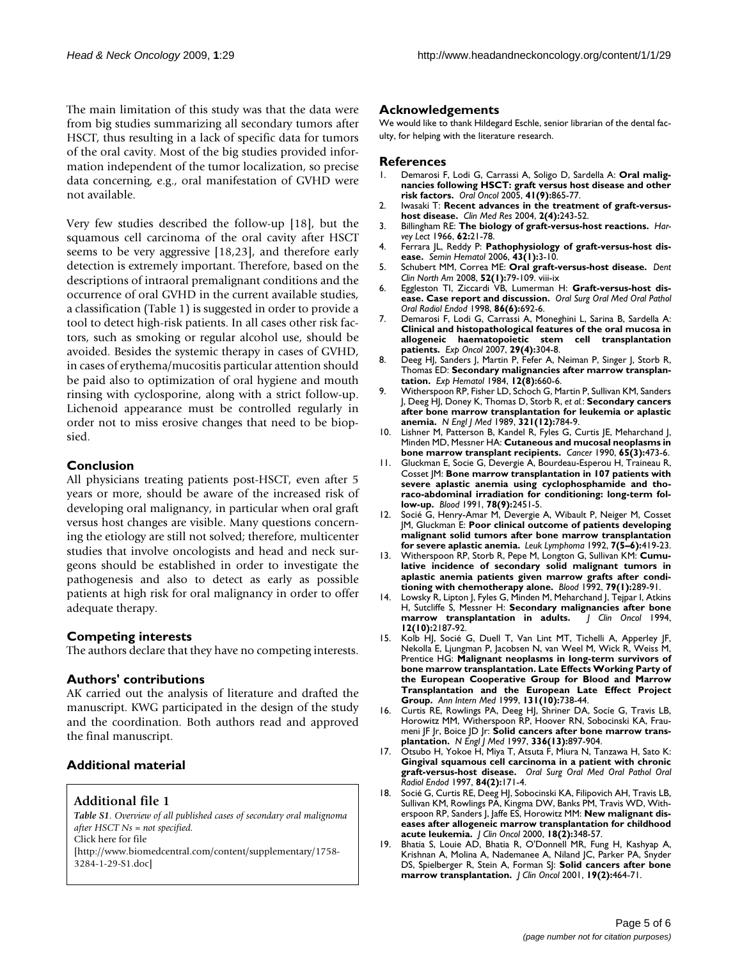The main limitation of this study was that the data were from big studies summarizing all secondary tumors after HSCT, thus resulting in a lack of specific data for tumors of the oral cavity. Most of the big studies provided information independent of the tumor localization, so precise data concerning, e.g., oral manifestation of GVHD were not available.

Very few studies described the follow-up [18], but the squamous cell carcinoma of the oral cavity after HSCT seems to be very aggressive [18,23], and therefore early detection is extremely important. Therefore, based on the descriptions of intraoral premalignant conditions and the occurrence of oral GVHD in the current available studies, a classification (Table 1) is suggested in order to provide a tool to detect high-risk patients. In all cases other risk factors, such as smoking or regular alcohol use, should be avoided. Besides the systemic therapy in cases of GVHD, in cases of erythema/mucositis particular attention should be paid also to optimization of oral hygiene and mouth rinsing with cyclosporine, along with a strict follow-up. Lichenoid appearance must be controlled regularly in order not to miss erosive changes that need to be biopsied.

#### **Conclusion**

All physicians treating patients post-HSCT, even after 5 years or more, should be aware of the increased risk of developing oral malignancy, in particular when oral graft versus host changes are visible. Many questions concerning the etiology are still not solved; therefore, multicenter studies that involve oncologists and head and neck surgeons should be established in order to investigate the pathogenesis and also to detect as early as possible patients at high risk for oral malignancy in order to offer adequate therapy.

#### **Competing interests**

The authors declare that they have no competing interests.

#### **Authors' contributions**

AK carried out the analysis of literature and drafted the manuscript. KWG participated in the design of the study and the coordination. Both authors read and approved the final manuscript.

#### **Additional material**

#### **Additional file 1**

*Table S1. Overview of all published cases of secondary oral malignoma after HSCT Ns = not specified.* Click here for file [\[http://www.biomedcentral.com/content/supplementary/1758-](http://www.biomedcentral.com/content/supplementary/1758-3284-1-29-S1.doc) 3284-1-29-S1.doc]

#### **Acknowledgements**

We would like to thank Hildegard Eschle, senior librarian of the dental faculty, for helping with the literature research.

#### **References**

- 1. Demarosi F, Lodi G, Carrassi A, Soligo D, Sardella A: **[Oral malig](http://www.ncbi.nlm.nih.gov/entrez/query.fcgi?cmd=Retrieve&db=PubMed&dopt=Abstract&list_uids=16084755)[nancies following HSCT: graft versus host disease and other](http://www.ncbi.nlm.nih.gov/entrez/query.fcgi?cmd=Retrieve&db=PubMed&dopt=Abstract&list_uids=16084755) [risk factors.](http://www.ncbi.nlm.nih.gov/entrez/query.fcgi?cmd=Retrieve&db=PubMed&dopt=Abstract&list_uids=16084755)** *Oral Oncol* 2005, **41(9):**865-77.
- 2. Iwasaki T: **[Recent advances in the treatment of graft-versus](http://www.ncbi.nlm.nih.gov/entrez/query.fcgi?cmd=Retrieve&db=PubMed&dopt=Abstract&list_uids=15931364)[host disease.](http://www.ncbi.nlm.nih.gov/entrez/query.fcgi?cmd=Retrieve&db=PubMed&dopt=Abstract&list_uids=15931364)** *Clin Med Res* 2004, **2(4):**243-52.
- 3. Billingham RE: **[The biology of graft-versus-host reactions.](http://www.ncbi.nlm.nih.gov/entrez/query.fcgi?cmd=Retrieve&db=PubMed&dopt=Abstract&list_uids=4875305)** *Harvey Lect* 1966, **62:**21-78.
- 4. Ferrara JL, Reddy P: **[Pathophysiology of graft-versus-host dis](http://www.ncbi.nlm.nih.gov/entrez/query.fcgi?cmd=Retrieve&db=PubMed&dopt=Abstract&list_uids=16412784)[ease.](http://www.ncbi.nlm.nih.gov/entrez/query.fcgi?cmd=Retrieve&db=PubMed&dopt=Abstract&list_uids=16412784)** *Semin Hematol* 2006, **43(1):**3-10.
- 5. Schubert MM, Correa ME: **[Oral graft-versus-host disease.](http://www.ncbi.nlm.nih.gov/entrez/query.fcgi?cmd=Retrieve&db=PubMed&dopt=Abstract&list_uids=18154866)** *Dent Clin North Am* 2008, **52(1):**79-109. viii-ix
- 6. Eggleston TI, Ziccardi VB, Lumerman H: **[Graft-versus-host dis](http://www.ncbi.nlm.nih.gov/entrez/query.fcgi?cmd=Retrieve&db=PubMed&dopt=Abstract&list_uids=9868727)[ease. Case report and discussion.](http://www.ncbi.nlm.nih.gov/entrez/query.fcgi?cmd=Retrieve&db=PubMed&dopt=Abstract&list_uids=9868727)** *Oral Surg Oral Med Oral Pathol Oral Radiol Endod* 1998, **86(6):**692-6.
- 7. Demarosi F, Lodi G, Carrassi A, Moneghini L, Sarina B, Sardella A: **[Clinical and histopathological features of the oral mucosa in](http://www.ncbi.nlm.nih.gov/entrez/query.fcgi?cmd=Retrieve&db=PubMed&dopt=Abstract&list_uids=18199988) allogeneic haematopoietic stem cell transplantation [patients.](http://www.ncbi.nlm.nih.gov/entrez/query.fcgi?cmd=Retrieve&db=PubMed&dopt=Abstract&list_uids=18199988)** *Exp Oncol* 2007, **29(4):**304-8.
- 8. Deeg HJ, Sanders J, Martin P, Fefer A, Neiman P, Singer J, Storb R, Thomas ED: **[Secondary malignancies after marrow transplan](http://www.ncbi.nlm.nih.gov/entrez/query.fcgi?cmd=Retrieve&db=PubMed&dopt=Abstract&list_uids=6386505)[tation.](http://www.ncbi.nlm.nih.gov/entrez/query.fcgi?cmd=Retrieve&db=PubMed&dopt=Abstract&list_uids=6386505)** *Exp Hematol* 1984, **12(8):**660-6.
- 9. Witherspoon RP, Fisher LD, Schoch G, Martin P, Sullivan KM, Sanders J, Deeg HJ, Doney K, Thomas D, Storb R, *et al.*: **[Secondary cancers](http://www.ncbi.nlm.nih.gov/entrez/query.fcgi?cmd=Retrieve&db=PubMed&dopt=Abstract&list_uids=2671734) [after bone marrow transplantation for leukemia or aplastic](http://www.ncbi.nlm.nih.gov/entrez/query.fcgi?cmd=Retrieve&db=PubMed&dopt=Abstract&list_uids=2671734) [anemia.](http://www.ncbi.nlm.nih.gov/entrez/query.fcgi?cmd=Retrieve&db=PubMed&dopt=Abstract&list_uids=2671734)** *N Engl J Med* 1989, **321(12):**784-9.
- 10. Lishner M, Patterson B, Kandel R, Fyles G, Curtis JE, Meharchand J, Minden MD, Messner HA: **[Cutaneous and mucosal neoplasms in](http://www.ncbi.nlm.nih.gov/entrez/query.fcgi?cmd=Retrieve&db=PubMed&dopt=Abstract&list_uids=2297638) [bone marrow transplant recipients.](http://www.ncbi.nlm.nih.gov/entrez/query.fcgi?cmd=Retrieve&db=PubMed&dopt=Abstract&list_uids=2297638)** *Cancer* 1990, **65(3):**473-6.
- 11. Gluckman E, Socie G, Devergie A, Bourdeau-Esperou H, Traineau R, Cosset JM: **[Bone marrow transplantation in 107 patients with](http://www.ncbi.nlm.nih.gov/entrez/query.fcgi?cmd=Retrieve&db=PubMed&dopt=Abstract&list_uids=1932758) [severe aplastic anemia using cyclophosphamide and tho](http://www.ncbi.nlm.nih.gov/entrez/query.fcgi?cmd=Retrieve&db=PubMed&dopt=Abstract&list_uids=1932758)raco-abdominal irradiation for conditioning: long-term fol[low-up.](http://www.ncbi.nlm.nih.gov/entrez/query.fcgi?cmd=Retrieve&db=PubMed&dopt=Abstract&list_uids=1932758)** *Blood* 1991, **78(9):**2451-5.
- 12. Socié G, Henry-Amar M, Devergie A, Wibault P, Neiger M, Cosset JM, Gluckman E: **[Poor clinical outcome of patients developing](http://www.ncbi.nlm.nih.gov/entrez/query.fcgi?cmd=Retrieve&db=PubMed&dopt=Abstract&list_uids=1493443) [malignant solid tumors after bone marrow transplantation](http://www.ncbi.nlm.nih.gov/entrez/query.fcgi?cmd=Retrieve&db=PubMed&dopt=Abstract&list_uids=1493443) [for severe aplastic anemia.](http://www.ncbi.nlm.nih.gov/entrez/query.fcgi?cmd=Retrieve&db=PubMed&dopt=Abstract&list_uids=1493443)** *Leuk Lymphoma* 1992, **7(5–6):**419-23.
- 13. Witherspoon RP, Storb R, Pepe M, Longton G, Sullivan KM: **[Cumu](http://www.ncbi.nlm.nih.gov/entrez/query.fcgi?cmd=Retrieve&db=PubMed&dopt=Abstract&list_uids=1728317)[lative incidence of secondary solid malignant tumors in](http://www.ncbi.nlm.nih.gov/entrez/query.fcgi?cmd=Retrieve&db=PubMed&dopt=Abstract&list_uids=1728317) aplastic anemia patients given marrow grafts after condi[tioning with chemotherapy alone.](http://www.ncbi.nlm.nih.gov/entrez/query.fcgi?cmd=Retrieve&db=PubMed&dopt=Abstract&list_uids=1728317)** *Blood* 1992, **79(1):**289-91.
- 14. Lowsky R, Lipton J, Fyles G, Minden M, Meharchand J, Tejpar I, Atkins H, Sutcliffe S, Messner H: **[Secondary malignancies after bone](http://www.ncbi.nlm.nih.gov/entrez/query.fcgi?cmd=Retrieve&db=PubMed&dopt=Abstract&list_uids=7931488) [marrow transplantation in adults.](http://www.ncbi.nlm.nih.gov/entrez/query.fcgi?cmd=Retrieve&db=PubMed&dopt=Abstract&list_uids=7931488)** *J Clin Oncol* 1994, **12(10):**2187-92.
- 15. Kolb HJ, Socié G, Duell T, Van Lint MT, Tichelli A, Apperley JF, Nekolla E, Ljungman P, Jacobsen N, van Weel M, Wick R, Weiss M, Prentice HG: **[Malignant neoplasms in long-term survivors of](http://www.ncbi.nlm.nih.gov/entrez/query.fcgi?cmd=Retrieve&db=PubMed&dopt=Abstract&list_uids=10577296) bone marrow transplantation. Late Effects Working Party of [the European Cooperative Group for Blood and Marrow](http://www.ncbi.nlm.nih.gov/entrez/query.fcgi?cmd=Retrieve&db=PubMed&dopt=Abstract&list_uids=10577296) Transplantation and the European Late Effect Project [Group.](http://www.ncbi.nlm.nih.gov/entrez/query.fcgi?cmd=Retrieve&db=PubMed&dopt=Abstract&list_uids=10577296)** *Ann Intern Med* 1999, **131(10):**738-44.
- 16. Curtis RE, Rowlings PA, Deeg HJ, Shriner DA, Socíe G, Travis LB, Horowitz MM, Witherspoon RP, Hoover RN, Sobocinski KA, Fraumeni JF Jr, Boice JD Jr: **[Solid cancers after bone marrow trans](http://www.ncbi.nlm.nih.gov/entrez/query.fcgi?cmd=Retrieve&db=PubMed&dopt=Abstract&list_uids=9070469)[plantation.](http://www.ncbi.nlm.nih.gov/entrez/query.fcgi?cmd=Retrieve&db=PubMed&dopt=Abstract&list_uids=9070469)** *N Engl J Med* 1997, **336(13):**897-904.
- 17. Otsubo H, Yokoe H, Miya T, Atsuta F, Miura N, Tanzawa H, Sato K: **[Gingival squamous cell carcinoma in a patient with chronic](http://www.ncbi.nlm.nih.gov/entrez/query.fcgi?cmd=Retrieve&db=PubMed&dopt=Abstract&list_uids=9269019) [graft-versus-host disease.](http://www.ncbi.nlm.nih.gov/entrez/query.fcgi?cmd=Retrieve&db=PubMed&dopt=Abstract&list_uids=9269019)** *Oral Surg Oral Med Oral Pathol Oral Radiol Endod* 1997, **84(2):**171-4.
- 18. Socié G, Curtis RE, Deeg HJ, Sobocinski KA, Filipovich AH, Travis LB, Sullivan KM, Rowlings PA, Kingma DW, Banks PM, Travis WD, Witherspoon RP, Sanders J, Jaffe ES, Horowitz MM: **[New malignant dis](http://www.ncbi.nlm.nih.gov/entrez/query.fcgi?cmd=Retrieve&db=PubMed&dopt=Abstract&list_uids=10637249)[eases after allogeneic marrow transplantation for childhood](http://www.ncbi.nlm.nih.gov/entrez/query.fcgi?cmd=Retrieve&db=PubMed&dopt=Abstract&list_uids=10637249) [acute leukemia.](http://www.ncbi.nlm.nih.gov/entrez/query.fcgi?cmd=Retrieve&db=PubMed&dopt=Abstract&list_uids=10637249)** *J Clin Oncol* 2000, **18(2):**348-57.
- 19. Bhatia S, Louie AD, Bhatia R, O'Donnell MR, Fung H, Kashyap A, Krishnan A, Molina A, Nademanee A, Niland JC, Parker PA, Snyder DS, Spielberger R, Stein A, Forman SJ: **[Solid cancers after bone](http://www.ncbi.nlm.nih.gov/entrez/query.fcgi?cmd=Retrieve&db=PubMed&dopt=Abstract&list_uids=11208840) [marrow transplantation.](http://www.ncbi.nlm.nih.gov/entrez/query.fcgi?cmd=Retrieve&db=PubMed&dopt=Abstract&list_uids=11208840)** *J Clin Oncol* 2001, **19(2):**464-71.